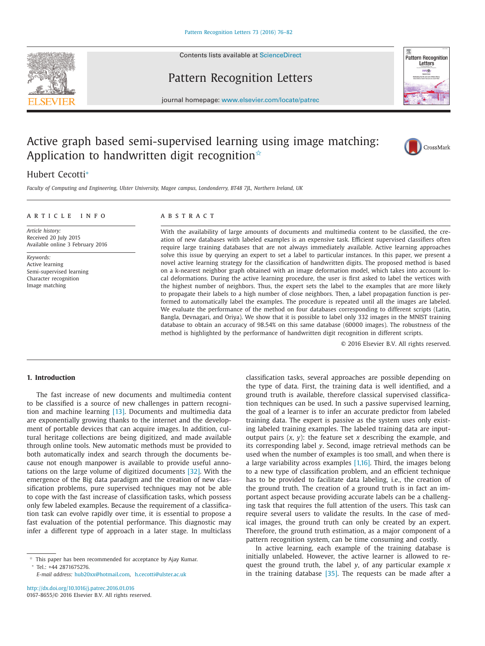Contents lists available at [ScienceDirect](http://www.ScienceDirect.com)







journal homepage: [www.elsevier.com/locate/patrec](http://www.elsevier.com/locate/patrec)

# Active graph based semi-supervised learning using image matching: Application to handwritten digit recognition  $\dot{\mathbf{x}}$



# Hubert Cecotti<sup>∗</sup>

*Faculty of Computing and Engineering, Ulster University, Magee campus, Londonderry, BT48 7JL, Northern Ireland, UK*

# article info

# **ABSTRACT**

*Article history:* Received 20 July 2015 Available online 3 February 2016

*Keywords:* Active learning Semi-supervised learning Character recognition Image matching

With the availability of large amounts of documents and multimedia content to be classified, the creation of new databases with labeled examples is an expensive task. Efficient supervised classifiers often require large training databases that are not always immediately available. Active learning approaches solve this issue by querying an expert to set a label to particular instances. In this paper, we present a novel active learning strategy for the classification of handwritten digits. The proposed method is based on a k-nearest neighbor graph obtained with an image deformation model, which takes into account local deformations. During the active learning procedure, the user is first asked to label the vertices with the highest number of neighbors. Thus, the expert sets the label to the examples that are more likely to propagate their labels to a high number of close neighbors. Then, a label propagation function is performed to automatically label the examples. The procedure is repeated until all the images are labeled. We evaluate the performance of the method on four databases corresponding to different scripts (Latin, Bangla, Devnagari, and Oriya). We show that it is possible to label only 332 images in the MNIST training database to obtain an accuracy of 98.54% on this same database (60000 images). The robustness of the method is highlighted by the performance of handwritten digit recognition in different scripts.

© 2016 Elsevier B.V. All rights reserved.

# **1. Introduction**

The fast increase of new documents and multimedia content to be classified is a source of new challenges in pattern recognition and machine learning [\[13\].](#page-6-0) Documents and multimedia data are exponentially growing thanks to the internet and the development of portable devices that can acquire images. In addition, cultural heritage collections are being digitized, and made available through online tools. New automatic methods must be provided to both automatically index and search through the documents because not enough manpower is available to provide useful annotations on the large volume of digitized documents [\[32\].](#page-6-0) With the emergence of the Big data paradigm and the creation of new classification problems, pure supervised techniques may not be able to cope with the fast increase of classification tasks, which possess only few labeled examples. Because the requirement of a classification task can evolve rapidly over time, it is essential to propose a fast evaluation of the potential performance. This diagnostic may infer a different type of approach in a later stage. In multiclass

 $*$  This paper has been recommended for acceptance by Ajay Kumar.  $*$  Tel: +44 2871675276

*E-mail address:* [hub20xx@hotmail.com,](mailto:hub20xx@hotmail.com) [h.cecotti@ulster.ac.uk](mailto: \ignorespaces h.cecotti@ulster.ac.uk)

classification tasks, several approaches are possible depending on the type of data. First, the training data is well identified, and a ground truth is available, therefore classical supervised classification techniques can be used. In such a passive supervised learning, the goal of a learner is to infer an accurate predictor from labeled training data. The expert is passive as the system uses only existing labeled training examples. The labeled training data are inputoutput pairs  $(x, y)$ : the feature set  $x$  describing the example, and its corresponding label *y*. Second, image retrieval methods can be used when the number of examples is too small, and when there is a large variability across examples  $[1,16]$ . Third, the images belong to a new type of classification problem, and an efficient technique has to be provided to facilitate data labeling, i.e., the creation of the ground truth. The creation of a ground truth is in fact an important aspect because providing accurate labels can be a challenging task that requires the full attention of the users. This task can require several users to validate the results. In the case of medical images, the ground truth can only be created by an expert. Therefore, the ground truth estimation, as a major component of a pattern recognition system, can be time consuming and costly.

In active learning, each example of the training database is initially unlabeled. However, the active learner is allowed to request the ground truth, the label *y*, of any particular example *x* in the training database [\[35\].](#page-6-0) The requests can be made after a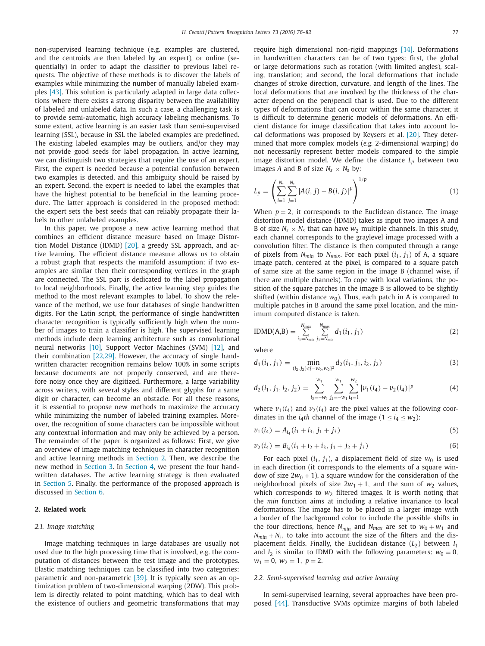non-supervised learning technique (e.g. examples are clustered, and the centroids are then labeled by an expert), or online (sequentially) in order to adapt the classifier to previous label requests. The objective of these methods is to discover the labels of examples while minimizing the number of manually labeled examples [\[43\].](#page-6-0) This solution is particularly adapted in large data collections where there exists a strong disparity between the availability of labeled and unlabeled data. In such a case, a challenging task is to provide semi-automatic, high accuracy labeling mechanisms. To some extent, active learning is an easier task than semi-supervised learning (SSL), because in SSL the labeled examples are predefined. The existing labeled examples may be outliers, and/or they may not provide good seeds for label propagation. In active learning, we can distinguish two strategies that require the use of an expert. First, the expert is needed because a potential confusion between two examples is detected, and this ambiguity should be raised by an expert. Second, the expert is needed to label the examples that have the highest potential to be beneficial in the learning procedure. The latter approach is considered in the proposed method: the expert sets the best seeds that can reliably propagate their labels to other unlabeled examples.

In this paper, we propose a new active learning method that combines an efficient distance measure based on Image Distortion Model Distance (IDMD) [\[20\],](#page-6-0) a greedy SSL approach, and active learning. The efficient distance measure allows us to obtain a robust graph that respects the manifold assumption: if two examples are similar then their corresponding vertices in the graph are connected. The SSL part is dedicated to the label propagation to local neighborhoods. Finally, the active learning step guides the method to the most relevant examples to label. To show the relevance of the method, we use four databases of single handwritten digits. For the Latin script, the performance of single handwritten character recognition is typically sufficiently high when the number of images to train a classifier is high. The supervised learning methods include deep learning architecture such as convolutional neural networks [\[10\],](#page-6-0) Support Vector Machines (SVM) [\[12\],](#page-6-0) and their combination [\[22,29\].](#page-6-0) However, the accuracy of single handwritten character recognition remains below 100% in some scripts because documents are not properly conserved, and are therefore noisy once they are digitized. Furthermore, a large variability across writers, with several styles and different glyphs for a same digit or character, can become an obstacle. For all these reasons, it is essential to propose new methods to maximize the accuracy while minimizing the number of labeled training examples. Moreover, the recognition of some characters can be impossible without any contextual information and may only be achieved by a person. The remainder of the paper is organized as follows: First, we give an overview of image matching techniques in character recognition and active learning methods in Section 2. Then, we describe the new method in [Section 3.](#page-2-0) In [Section 4,](#page-3-0) we present the four handwritten databases. The active learning strategy is then evaluated in [Section 5.](#page-3-0) Finally, the performance of the proposed approach is discussed in [Section 6.](#page-5-0)

# **2. Related work**

#### *2.1. Image matching*

Image matching techniques in large databases are usually not used due to the high processing time that is involved, e.g. the computation of distances between the test image and the prototypes. Elastic matching techniques can be classified into two categories: parametric and non-parametric [\[39\].](#page-6-0) It is typically seen as an optimization problem of two-dimensional warping (2DW). This problem is directly related to point matching, which has to deal with the existence of outliers and geometric transformations that may require high dimensional non-rigid mappings [\[14\].](#page-6-0) Deformations in handwritten characters can be of two types: first, the global or large deformations such as rotation (with limited angles), scaling, translation; and second, the local deformations that include changes of stroke direction, curvature, and length of the lines. The local deformations that are involved by the thickness of the character depend on the pen/pencil that is used. Due to the different types of deformations that can occur within the same character, it is difficult to determine generic models of deformations. An efficient distance for image classification that takes into account local deformations was proposed by Keysers et al. [\[20\].](#page-6-0) They determined that more complex models (*e.g.* 2-dimensional warping) do not necessarily represent better models compared to the simple image distortion model. We define the distance *Lp* between two images *A* and *B* of size  $N_s \times N_s$  by:

$$
L_p = \left(\sum_{i=1}^{N_s} \sum_{j=1}^{N_s} |A(i, j) - B(i, j)|^p\right)^{1/p} \tag{1}
$$

When  $p = 2$ , it corresponds to the Euclidean distance. The image distortion model distance (IDMD) takes as input two images A and B of size  $N_s \times N_s$  that can have  $w_2$  multiple channels. In this study, each channel corresponds to the graylevel image processed with a convolution filter. The distance is then computed through a range of pixels from  $N_{min}$  to  $N_{max}$ . For each pixel  $(i_1, j_1)$  of A, a square image patch, centered at the pixel, is compared to a square patch of same size at the same region in the image B (channel wise, if there are multiple channels). To cope with local variations, the position of the square patches in the image B is allowed to be slightly shifted (within distance  $w_0$ ). Thus, each patch in A is compared to multiple patches in B around the same pixel location, and the minimum computed distance is taken.

$$
IDMD(A,B) = \sum_{i_1=N_{min}}^{N_{max}} \sum_{j_1=N_{min}}^{N_{max}} d_1(i_1, j_1)
$$
 (2)

where

$$
d_1(i_1, j_1) = \min_{(i_2, j_2) \in \{-w_0; w_0\}^2} d_2(i_1, j_1, i_2, j_2)
$$
\n(3)

$$
d_2(i_1, j_1, i_2, j_2) = \sum_{i_3 = -w_1}^{w_1} \sum_{j_3 = -w_1}^{w_1} \sum_{i_4=1}^{w_2} |\nu_1(i_4) - \nu_2(i_4)|^p
$$
(4)

where  $v_1(i_4)$  and  $v_2(i_4)$  are the pixel values at the following coordinates in the *i<sub>4</sub>th* channel of the image ( $1 \le i_4 \le w_2$ ):

$$
v_1(i_4) = A_{i_4}(i_1 + i_3, j_1 + j_3)
$$
\n<sup>(5)</sup>

$$
v_2(i_4) = B_{i_4}(i_1 + i_2 + i_3, j_1 + j_2 + j_3)
$$
\n(6)

For each pixel  $(i_1, j_1)$ , a displacement field of size  $w_0$  is used in each direction (it corresponds to the elements of a square window of size  $2w_0 + 1$ ), a square window for the consideration of the neighborhood pixels of size  $2w_1 + 1$ , and the sum of  $w_2$  values, which corresponds to  $w_2$  filtered images. It is worth noting that the *min* function aims at including a relative invariance to local deformations. The image has to be placed in a larger image with a border of the background color to include the possible shifts in the four directions, hence  $N_{min}$  and  $N_{max}$  are set to  $w_0 + w_1$  and  $N_{min} + N_s$ , to take into account the size of the filters and the displacement fields. Finally, the Euclidean distance  $(L_2)$  between  $I_1$ and  $I_2$  is similar to IDMD with the following parameters:  $w_0 = 0$ ,  $w_1 = 0$ ,  $w_2 = 1$ ,  $p = 2$ .

### *2.2. Semi-supervised learning and active learning*

In semi-supervised learning, several approaches have been proposed [\[44\].](#page-6-0) Transductive SVMs optimize margins of both labeled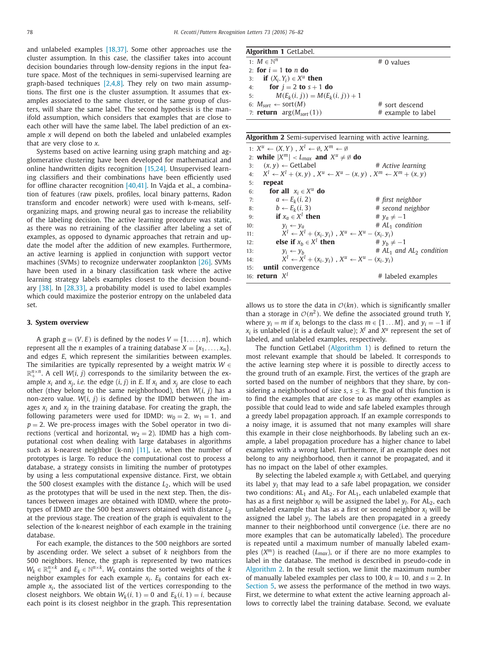<span id="page-2-0"></span>and unlabeled examples [\[18,37\].](#page-6-0) Some other approaches use the cluster assumption. In this case, the classifier takes into account decision boundaries through low-density regions in the input feature space. Most of the techniques in semi-supervised learning are graph-based techniques [\[2,4,8\].](#page-6-0) They rely on two main assumptions. The first one is the cluster assumption. It assumes that examples associated to the same cluster, or the same group of clusters, will share the same label. The second hypothesis is the manifold assumption, which considers that examples that are close to each other will have the same label. The label prediction of an example *x* will depend on both the labeled and unlabeled examples that are very close to *x*.

Systems based on active learning using graph matching and agglomerative clustering have been developed for mathematical and online handwritten digits recognition [\[15,24\].](#page-6-0) Unsupervised learning classifiers and their combinations have been efficiently used for offline character recognition [\[40,41\].](#page-6-0) In Vajda et al., a combination of features (raw pixels, profiles, local binary patterns, Radon transform and encoder network) were used with k-means, selforganizing maps, and growing neural gas to increase the reliability of the labeling decision. The active learning procedure was static, as there was no retraining of the classifier after labeling a set of examples, as opposed to dynamic approaches that retrain and update the model after the addition of new examples. Furthermore, an active learning is applied in conjunction with support vector machines (SVMs) to recognize underwater zooplankton [\[26\].](#page-6-0) SVMs have been used in a binary classification task where the active learning strategy labels examples closest to the decision boundary [\[38\].](#page-6-0) In [\[28,33\],](#page-6-0) a probability model is used to label examples which could maximize the posterior entropy on the unlabeled data set.

#### **3. System overview**

A graph  $g = (V, E)$  is defined by the nodes  $V = \{1, \ldots, n\}$ , which represent all the *n* examples of a training database  $X = \{x_1, \ldots, x_n\}$ , and edges *E*, which represent the similarities between examples. The similarities are typically represented by a weight matrix *W* ∈  $\mathbb{R}^{n \times n}_{+}$ . A cell *W*(*i*, *j*) corresponds to the similarity between the example  $x_i$  and  $x_i$ , *i.e.* the edge  $(i, j)$  in *E*. If  $x_i$  and  $x_i$  are close to each other (they belong to the same neighborhood), then *W*(*i*, *j*) has a non-zero value.  $W(i, j)$  is defined by the IDMD between the images  $x_i$  and  $x_j$  in the training database. For creating the graph, the following parameters were used for IDMD:  $w_0 = 2$ ,  $w_1 = 1$ , and  $p = 2$ . We pre-process images with the Sobel operator in two directions (vertical and horizontal,  $w_2 = 2$ ). IDMD has a high computational cost when dealing with large databases in algorithms such as k-nearest neighbor  $(k-nn)$  [\[11\],](#page-6-0) i.e. when the number of prototypes is large. To reduce the computational cost to process a database, a strategy consists in limiting the number of prototypes by using a less computational expensive distance. First, we obtain the 500 closest examples with the distance  $L_2$ , which will be used as the prototypes that will be used in the next step. Then, the distances between images are obtained with IDMD, where the prototypes of IDMD are the 500 best answers obtained with distance *L*<sub>2</sub> at the previous stage. The creation of the graph is equivalent to the selection of the k-nearest neighbor of each example in the training database.

For each example, the distances to the 500 neighbors are sorted by ascending order. We select a subset of *k* neighbors from the 500 neighbors. Hence, the graph is represented by two matrices  $W_k \in \mathbb{R}^{n \times k}_+$  and  $E_k \in \mathbb{N}^{n \times k}$ .  $W_k$  contains the sorted weights of the *k* neighbor examples for each example  $x_i$ .  $E_k$  contains for each example  $x_i$ , the associated list of the vertices corresponding to the closest neighbors. We obtain  $W_k(i, 1) = 0$  and  $E_k(i, 1) = i$ , because each point is its closest neighbor in the graph. This representation

| <b>Algorithm 1 GetLabel.</b>                   |                    |
|------------------------------------------------|--------------------|
| 1: $M \in \mathbb{N}^n$                        | $# 0$ values       |
| 2: for $i = 1$ to n do                         |                    |
| 3: if $(X_i, Y_i) \in X^u$ then                |                    |
| for $i = 2$ to $s + 1$ do<br>4:                |                    |
| $M(E_k(i, j)) = M(E_k(i, j)) + 1$<br>5:        |                    |
| 6: $M_{\text{sort}} \leftarrow \text{sort}(M)$ | # sort descend     |
| 7: <b>return</b> $arg(M_{sort}(1))$            | # example to label |

**Algorithm 2** Semi-supervised learning with active learning.

|     |                         | 1: $X^u \leftarrow (X, Y)$ , $X^l \leftarrow \emptyset$ , $X^m \leftarrow \emptyset$             |                                                   |
|-----|-------------------------|--------------------------------------------------------------------------------------------------|---------------------------------------------------|
|     |                         | 2: while $ X^m $ < $L_{max}$ and $X^u \neq \emptyset$ do                                         |                                                   |
| 3:  |                         | $(x, y) \leftarrow$ GetLabel                                                                     | # Active learning                                 |
|     |                         | 4: $X^l \leftarrow X^l + (x, y)$ , $X^u \leftarrow X^u - (x, y)$ , $X^m \leftarrow X^m + (x, y)$ |                                                   |
| 5:  | repeat                  |                                                                                                  |                                                   |
| 6:  |                         | for all $x_i \in X^u$ do                                                                         |                                                   |
| 7:  |                         | $a \leftarrow E_{\nu}(i, 2)$                                                                     | # first neighbor                                  |
| 8:  |                         | $b \leftarrow E_{k}(i, 3)$                                                                       | # second neighbor                                 |
| 9:  |                         | if $x_a \in X^l$ then                                                                            | # $v_a \neq -1$                                   |
| 10: |                         | $V_i \leftarrow V_a$                                                                             | $#$ AL <sub>1</sub> condition                     |
| 11: |                         | $X^l \leftarrow X^l + (x_i, y_i)$ , $X^u \leftarrow X^u - (x_i, y_i)$                            |                                                   |
| 12: |                         | else if $x_h \\in X^l$ then                                                                      | # $v_h \neq -1$                                   |
| 13: |                         | $y_i \leftarrow y_h$                                                                             | $#$ AL <sub>1</sub> and AL <sub>2</sub> condition |
| 14: |                         | $X^l \leftarrow X^l + (x_i, y_i)$ , $X^u \leftarrow X^u - (x_i, y_i)$                            |                                                   |
| 15: |                         | <b>until</b> convergence                                                                         |                                                   |
|     | 16: <b>return</b> $X^l$ |                                                                                                  | # labeled examples                                |
|     |                         |                                                                                                  |                                                   |

allows us to store the data in  $O(kn)$ , which is significantly smaller than a storage in  $\mathcal{O}(n^2)$ . We define the associated ground truth *Y*, where  $y_i = m$  if  $x_i$  belongs to the class  $m \in \{1 \dots M\}$ , and  $y_i = -1$  if  $x_i$  is unlabeled (it is a default value);  $X^l$  and  $X^u$  represent the set of labeled, and unlabeled examples, respectively.

The function GetLabel (Algorithm 1) is defined to return the most relevant example that should be labeled. It corresponds to the active learning step where it is possible to directly access to the ground truth of an example. First, the vertices of the graph are sorted based on the number of neighbors that they share, by considering a neighborhood of size *s*,  $s \leq k$ . The goal of this function is to find the examples that are close to as many other examples as possible that could lead to wide and safe labeled examples through a greedy label propagation approach. If an example corresponds to a noisy image, it is assumed that not many examples will share this example in their close neighborhoods. By labeling such an example, a label propagation procedure has a higher chance to label examples with a wrong label. Furthermore, if an example does not belong to any neighborhood, then it cannot be propagated, and it has no impact on the label of other examples.

By selecting the labeled example  $x_l$  with GetLabel, and querying its label  $y_l$  that may lead to a safe label propagation, we consider two conditions:  $AL_1$  and  $AL_2$ . For  $AL_1$ , each unlabeled example that has as a first neighbor  $x_l$  will be assigned the label  $y_l$ . For AL<sub>2</sub>, each unlabeled example that has as a first or second neighbor  $x_l$  will be assigned the label  $y_l$ . The labels are then propagated in a greedy manner to their neighborhood until convergence (i.e. there are no more examples that can be automatically labeled). The procedure is repeated until a maximum number of manually labeled examples (*Xm*) is reached (*Lmax*), or if there are no more examples to label in the database. The method is described in pseudo-code in Algorithm 2. In the result section, we limit the maximum number of manually labeled examples per class to 100,  $k = 10$ , and  $s = 2$ . In [Section 5,](#page-3-0) we assess the performance of the method in two ways. First, we determine to what extent the active learning approach allows to correctly label the training database. Second, we evaluate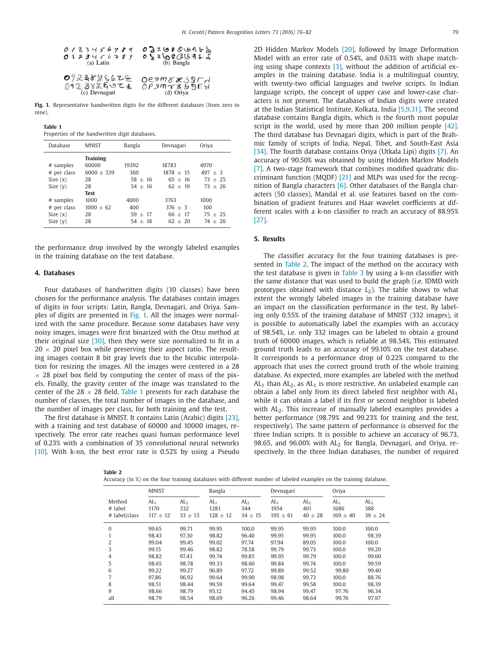<span id="page-3-0"></span>

Fig. 1. Representative handwritten digits for the different databases (from zero to nine).

**Table 1**

Properties of the handwritten digit databases.

| <b>Database</b> | <b>MNIST</b>    | Bangla    | Devnagari   | Oriya       |  |
|-----------------|-----------------|-----------|-------------|-------------|--|
|                 | <b>Training</b> |           |             |             |  |
| # samples       | 60000           | 19392     | 18783       | 4970        |  |
| # per class     | $6000 + 339$    | 360       | $1878 + 15$ | 497 $\pm$ 3 |  |
| Size $(x)$      | 28              | $58 + 16$ | $65 + 16$   | $73 + 25$   |  |
| Size $(v)$      | 28              | $54 + 16$ | $62 + 19$   | $73 + 26$   |  |
|                 | <b>Test</b>     |           |             |             |  |
| # samples       | 1000            | 4000      | 3763        | 1000        |  |
| # per class     | $1000 + 62$     | 400       | $376 + 3$   | 100         |  |
| Size $(x)$      | 28              | $59 + 17$ | $66 + 17$   | $75 + 25$   |  |
| Size $(v)$      | 28              | $54 + 18$ | $62 + 20$   | $74 + 26$   |  |

the performance drop involved by the wrongly labeled examples in the training database on the test database.

#### **4. Databases**

Four databases of handwritten digits (10 classes) have been chosen for the performance analysis. The databases contain images of digits in four scripts: Latin, Bangla, Devnagari, and Oriya. Samples of digits are presented in Fig. 1. All the images were normalized with the same procedure. Because some databases have very noisy images, images were first binarized with the Otsu method at their original size [\[30\],](#page-6-0) then they were size normalized to fit in a  $20 \times 20$  pixel box while preserving their aspect ratio. The resulting images contain 8 bit gray levels due to the bicubic interpolation for resizing the images. All the images were centered in a 28  $\times$  28 pixel box field by computing the center of mass of the pixels. Finally, the gravity center of the image was translated to the center of the 28  $\times$  28 field. Table 1 presents for each database the number of classes, the total number of images in the database, and the number of images per class, for both training and the test.

The first database is MNIST. It contains Latin (Arabic) digits [\[23\],](#page-6-0) with a training and test database of 60000 and 10000 images, respectively. The error rate reaches quasi human performance level of 0.23% with a combination of 35 convolutional neural networks [\[10\].](#page-6-0) With k-nn, the best error rate is 0.52% by using a Pseudo 2D Hidden Markov Models [\[20\],](#page-6-0) followed by Image Deformation Model with an error rate of 0.54%, and 0.63% with shape matching using shape contexts  $[3]$ , without the addition of artificial examples in the training database. India is a multilingual country, with twenty-two official languages and twelve scripts. In Indian language scripts, the concept of upper case and lower-case characters is not present. The databases of Indian digits were created at the Indian Statistical Institute, Kolkata, India [\[5,9,31\].](#page-6-0) The second database contains Bangla digits, which is the fourth most popular script in the world, used by more than 200 million people [\[42\].](#page-6-0) The third database has Devnagari digits, which is part of the Brahmic family of scripts of India, Nepal, Tibet, and South-East Asia [\[34\].](#page-6-0) The fourth database contains Oriya (Utkala Lipi) digits [\[7\].](#page-6-0) An accuracy of 90.50% was obtained by using Hidden Markov Models [\[7\].](#page-6-0) A two-stage framework that combines modified quadratic discriminant function (MQDF) [\[21\]](#page-6-0) and MLPs was used for the recognition of Bangla characters [\[6\].](#page-6-0) Other databases of the Bangla characters (50 classes), Mandal et al. use features based on the combination of gradient features and Haar wavelet coefficients at different scales with a k-nn classifier to reach an accuracy of 88.95% [\[27\].](#page-6-0)

#### **5. Results**

The classifier accuracy for the four training databases is presented in Table 2. The impact of the method on the accuracy with the test database is given in [Table 3](#page-4-0) by using a k-nn classifier with the same distance that was used to build the graph (i.e. IDMD with prototypes obtained with distance *L*2). The table shows to what extent the wrongly labeled images in the training database have an impact on the classification performance in the test. By labeling only 0.55% of the training database of MNIST (332 images), it is possible to automatically label the examples with an accuracy of 98.54%, i.e. only 332 images can be labeled to obtain a ground truth of 60000 images, which is reliable at 98.54%. This estimated ground truth leads to an accuracy of 99.10% on the test database. It corresponds to a performance drop of 0.22% compared to the approach that uses the correct ground truth of the whole training database. As expected, more examples are labeled with the method  $AL_1$  than  $AL_2$ , as  $AL_1$  is more restrictive. An unlabeled example can obtain a label only from its direct labeled first neighbor with  $AL_1$ while it can obtain a label if its first or second neighbor is labeled with AL<sub>2</sub>. This increase of manually labeled examples provides a better performance (98.79% and 99.23% for training and the test, respectively). The same pattern of performance is observed for the three Indian scripts. It is possible to achieve an accuracy of 96.73, 98.65, and 96.00% with AL<sub>2</sub> for Bangla, Devnagari, and Oriya, respectively. In the three Indian databases, the number of required

| m.<br>. . |  |  |  |
|-----------|--|--|--|
|-----------|--|--|--|

| Accuracy (in %) on the four training databases with different number of labeled examples on the training database. |  |  |  |  |  |  |  |  |  |  |  |  |  |  |  |  |  |
|--------------------------------------------------------------------------------------------------------------------|--|--|--|--|--|--|--|--|--|--|--|--|--|--|--|--|--|
|--------------------------------------------------------------------------------------------------------------------|--|--|--|--|--|--|--|--|--|--|--|--|--|--|--|--|--|

|                                    | <b>MNIST</b>                   |                                       | Bangla                         |                                       | Devnagari                      |                                       | Oriya                                   |                                       |  |
|------------------------------------|--------------------------------|---------------------------------------|--------------------------------|---------------------------------------|--------------------------------|---------------------------------------|-----------------------------------------|---------------------------------------|--|
| Method<br># label<br># label/class | $AL_1$<br>1170<br>$117 \pm 12$ | AL <sub>2</sub><br>332<br>$33 \pm 13$ | $AL_1$<br>1281<br>$128 \pm 12$ | AL <sub>2</sub><br>344<br>$34 \pm 15$ | $AL_1$<br>1954<br>$195 \pm 61$ | AL <sub>2</sub><br>401<br>$40 \pm 28$ | AL <sub>1</sub><br>1686<br>$169 \pm 40$ | AL <sub>2</sub><br>388<br>$39 \pm 24$ |  |
| $\bf{0}$                           | 99.65                          | 99.71                                 | 99.95                          | 100.0                                 | 99.95                          | 99.95                                 | 100.0                                   | 100.0                                 |  |
|                                    | 98.43                          | 97.30                                 | 98.82                          | 96.40                                 | 99.95                          | 99.95                                 | 100.0                                   | 98.39                                 |  |
| 2                                  | 99.04                          | 99.45                                 | 99.02                          | 97.74                                 | 97.94                          | 89.05                                 | 100.0                                   | 100.0                                 |  |
| 3                                  | 99.15                          | 99.46                                 | 98.82                          | 78.58                                 | 99.79                          | 99.73                                 | 100.0                                   | 99.20                                 |  |
| 4                                  | 98.82                          | 97.43                                 | 99.74                          | 99.85                                 | 99.95                          | 99.79                                 | 100.0                                   | 99.60                                 |  |
| 5                                  | 98.65                          | 98.78                                 | 99.33                          | 98.60                                 | 99.84                          | 99.74                                 | 100.0                                   | 99.59                                 |  |
| 6                                  | 99.22                          | 99.27                                 | 96.89                          | 97.72                                 | 99.89                          | 99.52                                 | 99.80                                   | 99.40                                 |  |
| 7                                  | 97.86                          | 96.92                                 | 99.64                          | 99.90                                 | 98.98                          | 99.73                                 | 100.0                                   | 88.76                                 |  |
| 8                                  | 98.51                          | 98.44                                 | 99.59                          | 99.64                                 | 99.47                          | 99.58                                 | 100.0                                   | 98.39                                 |  |
| 9                                  | 98.66                          | 98.79                                 | 95.12                          | 94.45                                 | 98.94                          | 99.47                                 | 97.76                                   | 96.34                                 |  |
| all                                | 98.79                          | 98.54                                 | 98.69                          | 96.26                                 | 99.46                          | 98.64                                 | 99.76                                   | 97.97                                 |  |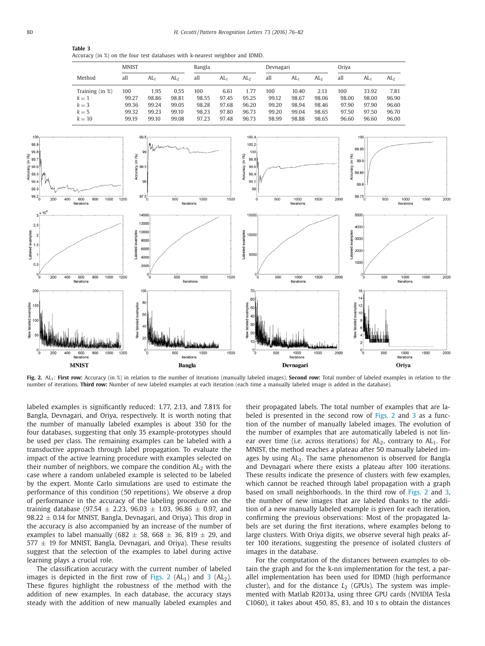|                   | <b>MNIST</b> |       |                 | Bangla |                 |                 | Devnagari |        |                 | Oriva |       |                 |
|-------------------|--------------|-------|-----------------|--------|-----------------|-----------------|-----------|--------|-----------------|-------|-------|-----------------|
| Method            | all          | AL1   | AL <sub>2</sub> | all    | AL <sub>1</sub> | AL <sub>2</sub> | all       | $AL_1$ | AL <sub>2</sub> | all   | AL.   | AL <sub>2</sub> |
| Training $(in %)$ | 100          | l.95  | 0.55            | 100    | 6.61            | 1.77            | 100       | 10.40  | 2.13            | 100   | 33.92 | 7.81            |
| $k=1$             | 99.27        | 98.86 | 98.81           | 98.55  | 97.45           | 95.25           | 99.12     | 98.67  | 98.06           | 98.00 | 98.00 | 96.90           |
| $k = 3$           | 99.36        | 99.24 | 99.05           | 98.28  | 97.68           | 96.20           | 99.20     | 98.94  | 98.46           | 97.90 | 97.90 | 96.60           |
| $k=5$             | 99.32        | 99.23 | 99.10           | 98.23  | 97.80           | 96.73           | 99.20     | 99.04  | 98.65           | 97.50 | 97.50 | 96.70           |
| $k=10$            | 99.19        | 99.10 | 99.08           | 97.23  | 97.48           | 96.73           | 98.99     | 98.88  | 98.65           | 96.60 | 96.60 | 96.00           |

<span id="page-4-0"></span>**Table 3** Accuracy (in %) on the four test databases with k-nearest neighbor and IDMD.



**Fig. 2.** AL1: **First row:** Accuracy (in %) in relation to the number of iterations (manually labeled images). **Second row:** Total number of labeled examples in relation to the number of iterations. **Third row:** Number of new labeled examples at each iteration (each time a manually labeled image is added in the database).

labeled examples is significantly reduced: 1.77, 2.13, and 7.81% for Bangla, Devnagari, and Oriya, respectively. It is worth noting that the number of manually labeled examples is about 350 for the four databases, suggesting that only 35 example-prototypes should be used per class. The remaining examples can be labeled with a transductive approach through label propagation. To evaluate the impact of the active learning procedure with examples selected on their number of neighbors, we compare the condition  $AL<sub>2</sub>$  with the case where a random unlabeled example is selected to be labeled by the expert. Monte Carlo simulations are used to estimate the performance of this condition (50 repetitions). We observe a drop of performance in the accuracy of the labeling procedure on the training database (97.54  $\pm$  2.23, 96.03  $\pm$  1.03, 96.86  $\pm$  0.97, and  $98.22 \pm 0.14$  for MNIST, Bangla, Devnagari, and Oriya). This drop in the accuracy is also accompanied by an increase of the number of examples to label manually (682  $\pm$  58, 668  $\pm$  36, 819  $\pm$  29, and  $577 \pm 19$  for MNIST, Bangla, Devnagari, and Oriya). These results suggest that the selection of the examples to label during active learning plays a crucial role.

The classification accuracy with the current number of labeled images is depicted in the first row of Figs. 2 ( $AL_1$ ) and [3](#page-5-0) ( $AL_2$ ). These figures highlight the robustness of the method with the addition of new examples. In each database, the accuracy stays steady with the addition of new manually labeled examples and

their propagated labels. The total number of examples that are labeled is presented in the second row of Figs. 2 and [3](#page-5-0) as a function of the number of manually labeled images. The evolution of the number of examples that are automatically labeled is not linear over time (i.e. across iterations) for  $AL_2$ , contrary to  $AL_1$ . For MNIST, the method reaches a plateau after 50 manually labeled images by using AL<sub>2</sub>. The same phenomenon is observed for Bangla and Devnagari where there exists a plateau after 100 iterations. These results indicate the presence of clusters with few examples, which cannot be reached through label propagation with a graph based on small neighborhoods. In the third row of Figs. 2 and [3,](#page-5-0) the number of new images that are labeled thanks to the addition of a new manually labeled example is given for each iteration, confirming the previous observations: Most of the propagated labels are set during the first iterations, where examples belong to large clusters. With Oriya digits, we observe several high peaks after 100 iterations, suggesting the presence of isolated clusters of images in the database.

For the computation of the distances between examples to obtain the graph and for the k-nn implementation for the test, a parallel implementation has been used for IDMD (high performance cluster), and for the distance  $L_2$  (GPUs). The system was implemented with Matlab R2013a, using three GPU cards (NVIDIA Tesla C1060), it takes about 450, 85, 83, and 10 s to obtain the distances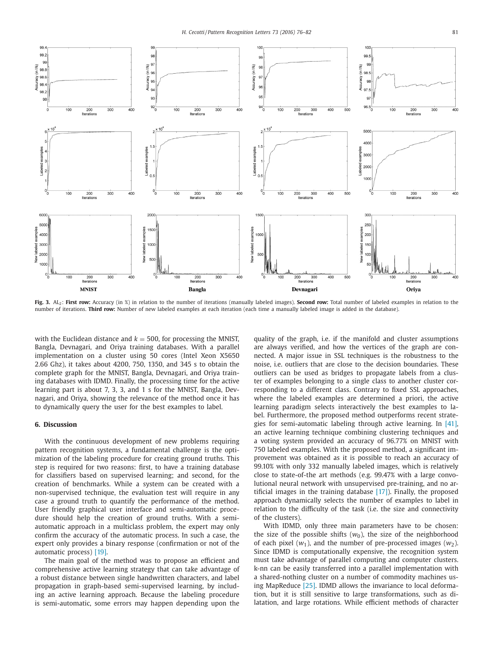<span id="page-5-0"></span>

**Fig. 3.** AL2: **First row:** Accuracy (in %) in relation to the number of iterations (manually labeled images). **Second row:** Total number of labeled examples in relation to the number of iterations. **Third row:** Number of new labeled examples at each iteration (each time a manually labeled image is added in the database).

with the Euclidean distance and  $k = 500$ , for processing the MNIST, Bangla, Devnagari, and Oriya training databases. With a parallel implementation on a cluster using 50 cores (Intel Xeon X5650 2.66 Ghz), it takes about 4200, 750, 1350, and 345 s to obtain the complete graph for the MNIST, Bangla, Devnagari, and Oriya training databases with IDMD. Finally, the processing time for the active learning part is about 7, 3, 3, and 1 s for the MNIST, Bangla, Devnagari, and Oriya, showing the relevance of the method once it has to dynamically query the user for the best examples to label.

# **6. Discussion**

With the continuous development of new problems requiring pattern recognition systems, a fundamental challenge is the optimization of the labeling procedure for creating ground truths. This step is required for two reasons: first, to have a training database for classifiers based on supervised learning; and second, for the creation of benchmarks. While a system can be created with a non-supervised technique, the evaluation test will require in any case a ground truth to quantify the performance of the method. User friendly graphical user interface and semi-automatic procedure should help the creation of ground truths. With a semiautomatic approach in a multiclass problem, the expert may only confirm the accuracy of the automatic process. In such a case, the expert only provides a binary response (confirmation or not of the automatic process) [\[19\].](#page-6-0)

The main goal of the method was to propose an efficient and comprehensive active learning strategy that can take advantage of a robust distance between single handwritten characters, and label propagation in graph-based semi-supervised learning, by including an active learning approach. Because the labeling procedure is semi-automatic, some errors may happen depending upon the

quality of the graph, i.e. if the manifold and cluster assumptions are always verified, and how the vertices of the graph are connected. A major issue in SSL techniques is the robustness to the noise, i.e. outliers that are close to the decision boundaries. These outliers can be used as bridges to propagate labels from a cluster of examples belonging to a single class to another cluster corresponding to a different class. Contrary to fixed SSL approaches, where the labeled examples are determined a priori, the active learning paradigm selects interactively the best examples to label. Furthermore, the proposed method outperforms recent strategies for semi-automatic labeling through active learning. In [\[41\],](#page-6-0) an active learning technique combining clustering techniques and a voting system provided an accuracy of 96.77% on MNIST with 750 labeled examples. With the proposed method, a significant improvement was obtained as it is possible to reach an accuracy of 99.10% with only 332 manually labeled images, which is relatively close to state-of-the art methods (e.g. 99.47% with a large convolutional neural network with unsupervised pre-training, and no artificial images in the training database [\[17\]\)](#page-6-0). Finally, the proposed approach dynamically selects the number of examples to label in relation to the difficulty of the task (i.e. the size and connectivity of the clusters).

With IDMD, only three main parameters have to be chosen: the size of the possible shifts  $(w_0)$ , the size of the neighborhood of each pixel  $(w_1)$ , and the number of pre-processed images  $(w_2)$ . Since IDMD is computationally expensive, the recognition system must take advantage of parallel computing and computer clusters. k-nn can be easily transferred into a parallel implementation with a shared-nothing cluster on a number of commodity machines using MapReduce [\[25\].](#page-6-0) IDMD allows the invariance to local deformation, but it is still sensitive to large transformations, such as dilatation, and large rotations. While efficient methods of character